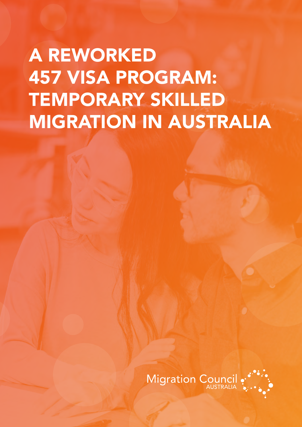A REWORKED 457 VISA PROGRAM: TEMPORARY SKILLED MIGRATION IN AUSTRALIA

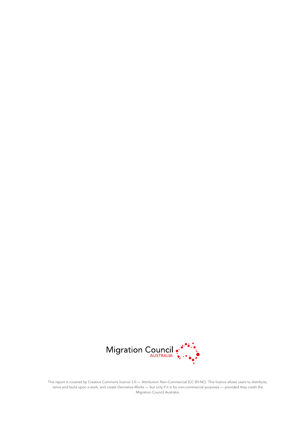

This report is covered by Creative Commons licence 3.0 — Attribution Non-Commercial (CC BY-NC). This licence allows users to distribute, remix and build upon a work, and create Derivative Works — but only if it is for non-commercial purposes — provided they credit the Migration Council Australia.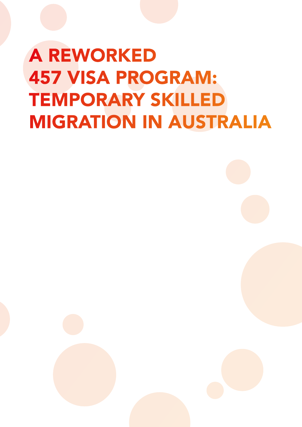### **A REWORKED 457 VISA PROGRAM: TEMPORARY SKILLED MIGRATION IN AUSTRALIA**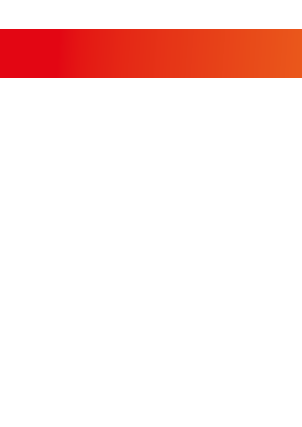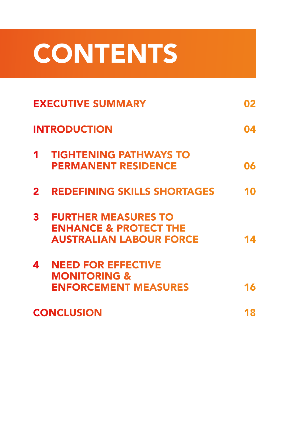# **CONTENTS**

| <b>EXECUTIVE SUMMARY</b> |                                                                                                  |    |
|--------------------------|--------------------------------------------------------------------------------------------------|----|
| <b>INTRODUCTION</b>      |                                                                                                  | 04 |
|                          | <b>TIGHTENING PATHWAYS TO</b><br><b>PERMANENT RESIDENCE</b>                                      | 06 |
| $\mathbf{2}$             | <b>REDEFINING SKILLS SHORTAGES</b>                                                               | 10 |
| 3                        | <b>FURTHER MEASURES TO</b><br><b>ENHANCE &amp; PROTECT THE</b><br><b>AUSTRALIAN LABOUR FORCE</b> | 14 |
| 4                        | <b>NEED FOR EFFECTIVE</b><br><b>MONITORING &amp;</b><br><b>ENFORCEMENT MEASURES</b>              | 16 |
| <b>CONCLUSION</b>        |                                                                                                  | 18 |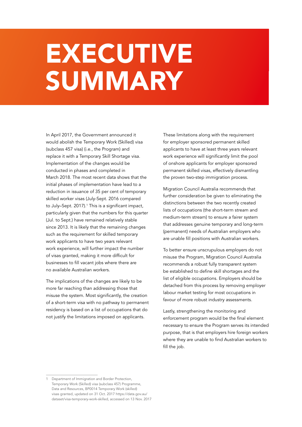## <span id="page-5-0"></span>EXECUTIVE SUMMARY

In April 2017, the Government announced it would abolish the Temporary Work (Skilled) visa (subclass 457 visa) (i.e., the Program) and replace it with a Temporary Skill Shortage visa. Implementation of the changes would be conducted in phases and completed in March 2018. The most recent data shows that the initial phases of implementation have lead to a reduction in issuance of 35 per cent of temporary skilled worker visas (July-Sept. 2016 compared to July–Sept. 2017).<sup>1</sup> This is a significant impact, particularly given that the numbers for this quarter (Jul. to Sept.) have remained relatively stable since 2013. It is likely that the remaining changes such as the requirement for skilled temporary work applicants to have two years relevant work experience, will further impact the number of visas granted, making it more difficult for businesses to fill vacant jobs where there are no available Australian workers.

The implications of the changes are likely to be more far reaching than addressing those that misuse the system. Most significantly, the creation of a short-term visa with no pathway to permanent residency is based on a list of occupations that do not justify the limitations imposed on applicants.

These limitations along with the requirement for employer sponsored permanent skilled applicants to have at least three years relevant work experience will significantly limit the pool of onshore applicants for employer sponsored permanent skilled visas, effectively dismantling the proven two-step immigration process.

Migration Council Australia recommends that further consideration be given to eliminating the distinctions between the two recently created lists of occupations (the short-term stream and medium-term stream) to ensure a fairer system that addresses genuine temporary and long-term (permanent) needs of Australian employers who are unable fill positions with Australian workers.

To better ensure unscrupulous employers do not misuse the Program, Migration Council Australia recommends a robust fully transparent system be established to define skill shortages and the list of eligible occupations. Employers should be detached from this process by removing employer labour market testing for most occupations in favour of more robust industry assessments.

Lastly, strengthening the monitoring and enforcement program would be the final element necessary to ensure the Program serves its intended purpose, that is that employers hire foreign workers where they are unable to find Australian workers to fill the job.

<sup>1</sup> Department of Immigration and Border Protection, Temporary Work (Skilled) visa (subclass 457) Programme, Data and Resources, BP0014 Temporary Work (skilled) visas granted, updated on 31 Oct. 2017 https://data.gov.au/ dataset/visa-temporary-work-skilled, accessed on 13 Nov. 2017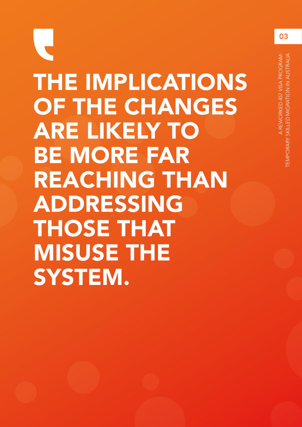## THE IMPLICATIONS OF THE CHANGES ARE LIKELY TO BE MORE FAR REACHING THAN ADDRESSING THOSE THAT MISUSE THE SYSTEM.

03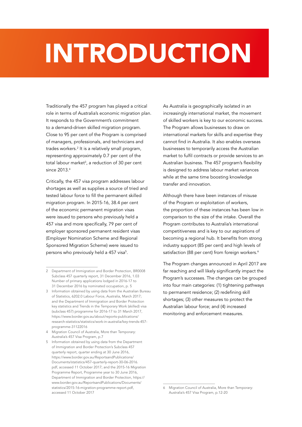## <span id="page-7-0"></span>INTRODUCTION

Traditionally the 457 program has played a critical role in terms of Australia's economic migration plan. It responds to the Government's commitment to a demand-driven skilled migration program. Close to 95 per cent of the Program is comprised of managers, professionals, and technicians and trades workers.2 It is a relatively small program, representing approximately 0.7 per cent of the total labour market<sup>3</sup>, a reduction of 30 per cent since 2013.4

Critically, the 457 visa program addresses labour shortages as well as supplies a source of tried and tested labour force to fill the permanent skilled migration program. In 2015-16, 38.4 per cent of the economic permanent migration visas were issued to persons who previously held a 457 visa and more specifically, 79 per cent of employer sponsored permanent resident visas (Employer Nomination Scheme and Regional Sponsored Migration Scheme) were issued to persons who previously held a 457 visa<sup>5</sup>.

4 Migration Council of Australia, More than Temporary: Australia's 457 Visa Program, p.7

As Australia is geographically isolated in an increasingly international market, the movement of skilled workers is key to our economic success. The Program allows businesses to draw on international markets for skills and expertise they cannot find in Australia. It also enables overseas businesses to temporarily access the Australian market to fulfil contracts or provide services to an Australian business. The 457 program's flexibility is designed to address labour market variances while at the same time boosting knowledge transfer and innovation.

Although there have been instances of misuse of the Program or exploitation of workers, the proportion of these instances has been low in comparison to the size of the intake. Overall the Program contributes to Australia's international competitiveness and is key to our aspirations of becoming a regional hub. It benefits from strong industry support (85 per cent) and high levels of satisfaction (88 per cent) from foreign workers.<sup>6</sup>

The Program changes announced in April 2017 are far reaching and will likely significantly impact the Program's successes. The changes can be grouped into four main categories: (1) tightening pathways to permanent residence; (2) redefining skill shortages; (3) other measures to protect the Australian labour force; and (4) increased monitoring and enforcement measures.

<sup>2</sup> Department of Immigration and Border Protection, BR0008 Subclass 457 quarterly report, 31 December 2016, 1.03 Number of primary applications lodged in 2016-17 to 31 December 2016 by nominated occupation, p. 5

<sup>3</sup> Information obtained by using data from the Australian Bureau of Statistics, 6202.0 Labour Force, Australia, March 2017; and the Department of Immigration and Border Protection key statistics and Trends in the Temporary Work (skilled) visa (subclass 457) programme for 2016-17 to 31 March 2017, https://www.border.gov.au/about/reports-publications/ research-statistics/statistics/work-in-australia/key-trends-457 programme-31122016

<sup>5</sup> Information obtained by using data from the Department of Immigration and Border Protection's Subclass 457 quarterly report, quarter ending at 30 June 2016, https://www.border.gov.au/ReportsandPublications/ Documents/statistics/457-quarterly-report-30-06-2016. pdf, accessed 11 October 2017; and the 2015-16 Migration Programme Report, Programme year to 30 June 2016, Department of Immigration and Border Protection, https:// www.border.gov.au/ReportsandPublications/Documents/ statistics/2015-16-migration-programme-report.pdf, accessed 11 October 2017

<sup>6</sup> Migration Council of Australia, More than Temporary: Australia's 457 Visa Program, p.12-20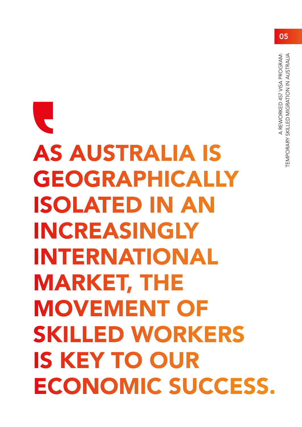05

## AS AUSTRALIA IS GEOGRAPHICALLY ISOLATED IN AN INCREASINGLY INTERNATIONAL MARKET, THE MOVEMENT OF SKILLED WORKERS IS KEY TO OUR ECONOMIC SUCCESS.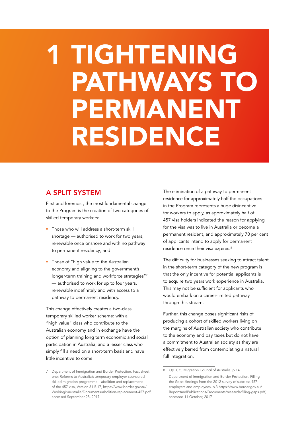## <span id="page-9-0"></span>TIGHTENING 1PATHWAYS TO PERMANENT RESIDENCE

#### A SPLIT SYSTEM

First and foremost, the most fundamental change to the Program is the creation of two categories of skilled temporary workers:

- **Those who will address a short-term skill** shortage — authorised to work for two years, renewable once onshore and with no pathway to permanent residency; and
- **Those of "high value to the Australian** economy and aligning to the government's longer-term training and workforce strategies"<sup>7</sup> — authorised to work for up to four years, renewable indefinitely and with access to a pathway to permanent residency.

This change effectively creates a two-class temporary skilled worker scheme: with a "high value" class who contribute to the Australian economy and in exchange have the option of planning long term economic and social participation in Australia, and a lesser class who simply fill a need on a short-term basis and have little incentive to come.

The elimination of a pathway to permanent residence for approximately half the occupations in the Program represents a huge disincentive for workers to apply, as approximately half of 457 visa holders indicated the reason for applying for the visa was to live in Australia or become a permanent resident, and approximately 70 per cent of applicants intend to apply for permanent residence once their visa expires.8

The difficulty for businesses seeking to attract talent in the short-term category of the new program is that the only incentive for potential applicants is to acquire two years work experience in Australia. This may not be sufficient for applicants who would embark on a career-limited pathway through this stream.

Further, this change poses significant risks of producing a cohort of skilled workers living on the margins of Australian society who contribute to the economy and pay taxes but do not have a commitment to Australian society as they are effectively barred from contemplating a natural full integration.

<sup>7</sup> Department of Immigration and Border Protection, Fact sheet one: Reforms to Australia's temporary employer sponsored skilled migration programme – abolition and replacement of the 457 visa, Version 31.5.17, https://www.border.gov.au/ WorkinginAustralia/Documents/abolition-replacement-457.pdf, accessed September 28, 2017

<sup>8</sup> Op. Cit., Migration Council of Australia, p.14. Department of Immigration and Border Protection, Filling the Gaps: findings from the 2012 survey of subclass 457 employers and employees, p.3 https://www.border.gov.au/ ReportsandPublications/Documents/research/filling-gaps.pdf, accessed 11 October, 2017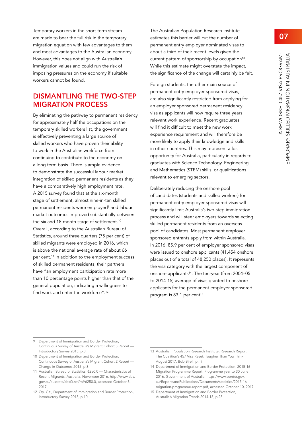07

Temporary workers in the short-term stream are made to bear the full risk in the temporary migration equation with few advantages to them and most advantages to the Australian economy. However, this does not align with Australia's immigration values and could run the risk of imposing pressures on the economy if suitable workers cannot be found.

#### DISMANTLING THE TWO-STEP MIGRATION PROCESS

By eliminating the pathway to permanent residency for approximately half the occupations on the temporary skilled workers list, the government is effectively preventing a large source of skilled workers who have proven their ability to work in the Australian workforce from continuing to contribute to the economy on a long term basis. There is ample evidence to demonstrate the successful labour market integration of skilled permanent residents as they have a comparatively high employment rate. A 2015 survey found that at the six-month stage of settlement, almost nine-in-ten skilled permanent residents were employed<sup>9</sup> and labour market outcomes improved substantially between the six and 18-month stage of settlement.<sup>10</sup> Overall, according to the Australian Bureau of Statistics, around three quarters (75 per cent) of skilled migrants were employed in 2016, which is above the national average rate of about 66 per cent.<sup>11</sup> In addition to the employment success of skilled permanent residents, their partners have "an employment participation rate more than 10 percentage points higher than that of the general population, indicating a willingness to find work and enter the workforce".12

The Australian Population Research Institute estimates this barrier will cut the number of permanent entry employer nominated visas to about a third of their recent levels given the current pattern of sponsorship by occupation<sup>13</sup>. While this estimate might overstate the impact, the significance of the change will certainly be felt.

Foreign students, the other main source of permanent entry employer sponsored visas, are also significantly restricted from applying for an employer sponsored permanent residency visa as applicants will now require three years relevant work experience. Recent graduates will find it difficult to meet the new work experience requirement and will therefore be more likely to apply their knowledge and skills in other countries. This may represent a lost opportunity for Australia, particularly in regards to graduates with Science Technology, Engineering and Mathematics (STEM) skills, or qualifications relevant to emerging sectors.

Deliberately reducing the onshore pool of candidates (students and skilled workers) for permanent entry employer sponsored visas will significantly limit Australia's two-step immigration process and will steer employers towards selecting skilled permanent residents from an overseas pool of candidates. Most permanent employer sponsored entrants apply from within Australia. In 2016, 85.9 per cent of employer sponsored visas were issued to onshore applicants (41,454 onshore places out of a total of 48,250 places). It represents the visa category with the largest component of onshore applicants<sup>14</sup>. The ten-year (from 2004–05 to 2014-15) average of visas granted to onshore applicants for the permanent employer sponsored program is 83.1 per cent<sup>15</sup>.

- 10 Department of Immigration and Border Protection, Continuous Survey of Australia's Migrant Cohort 2 Report — Change in Outcomes 2015, p.3.
- 11 Australian Bureau of Statistics, 6250.0 Characteristics of Recent Migrants, Australia, November 2016, http://www.abs. gov.au/ausstats/abs@.nsf/mf/6250.0, accessed October 3, 2017
- 12 Op. Cit., Department of Immigration and Border Protection, Introductory Survey 2015, p 10.

Department of Immigration and Border Protection, Continuous Survey of Australia's Migrant Cohort 3 Report — Introductory Survey 2015, p.3.

<sup>13</sup> Australian Population Research Institute, Research Report, The Coalition's 457 Visa Reset: Tougher Than You Think, August 2017, Bob Birell, p. iii

<sup>14</sup> Department of Immigration and Border Protection, 2015-16 Migration Programme Report, Programme year to 30 June 2016, Government of Australia, https://www.border.gov. au/ReportsandPublications/Documents/statistics/2015-16 migration-programme-report.pdf, accessed October 10, 2017

<sup>15</sup> Department of Immigration and Border Protection, Australia's Migration Trends 2014-15, p.25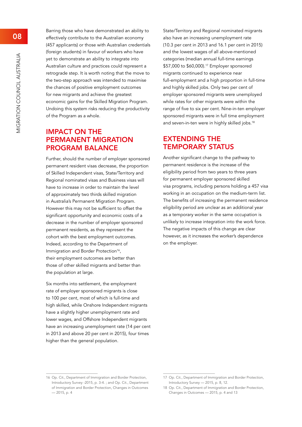08

Barring those who have demonstrated an ability to effectively contribute to the Australian economy (457 applicants) or those with Australian credentials (foreign students) in favour of workers who have yet to demonstrate an ability to integrate into Australian culture and practices could represent a retrograde step. It is worth noting that the move to the two-step approach was intended to maximise the chances of positive employment outcomes for new migrants and achieve the greatest economic gains for the Skilled Migration Program. Undoing this system risks reducing the productivity of the Program as a whole.

#### IMPACT ON THE PERMANENT MIGRATION PROGRAM BALANCE

Further, should the number of employer sponsored permanent resident visas decrease, the proportion of Skilled Independent visas, State/Territory and Regional nominated visas and Business visas will have to increase in order to maintain the level of approximately two thirds skilled migration in Australia's Permanent Migration Program. However this may not be sufficient to offset the significant opportunity and economic costs of a decrease in the number of employer sponsored permanent residents, as they represent the cohort with the best employment outcomes. Indeed, according to the Department of Immigration and Border Protection<sup>16</sup>, their employment outcomes are better than those of other skilled migrants and better than the population at large.

Six months into settlement, the employment rate of employer sponsored migrants is close to 100 per cent, most of which is full-time and high skilled, while Onshore Independent migrants have a slightly higher unemployment rate and lower wages, and Offshore Independent migrants have an increasing unemployment rate (14 per cent in 2013 and above 20 per cent in 2015), four times higher than the general population.

State/Territory and Regional nominated migrants also have an increasing unemployment rate (10.3 per cent in 2013 and 16.1 per cent in 2015) and the lowest wages of all above-mentioned categories (median annual full-time earnings \$57,000 to \$60,000).17 Employer sponsored migrants continued to experience near full-employment and a high proportion in full-time and highly skilled jobs. Only two per cent of employer sponsored migrants were unemployed while rates for other migrants were within the range of five to six per cent. Nine-in-ten employer sponsored migrants were in full time employment and seven-in-ten were in highly skilled jobs.<sup>18</sup>

#### EXTENDING THE TEMPORARY STATUS

Another significant change to the pathway to permanent residence is the increase of the eligibility period from two years to three years for permanent employer sponsored skilled visa programs, including persons holding a 457 visa working in an occupation on the medium-term list. The benefits of increasing the permanent residence eligibility period are unclear as an additional year as a temporary worker in the same occupation is unlikely to increase integration into the work force. The negative impacts of this change are clear however, as it increases the worker's dependence on the employer.

<sup>16</sup> Op. Cit., Department of Immigration and Border Protection, Introductory Survey -2015, p. 3-4. ; and Op. Cit., Department of Immigration and Border Protection, Changes in Outcomes — 2015, p. 4

<sup>17</sup> Op. Cit., Department of Immigration and Border Protection, Introductory Survey — 2015, p. 8, 12.

<sup>18</sup> Op. Cit., Department of Immigration and Border Protection, Changes in Outcomes — 2015, p. 4 and 13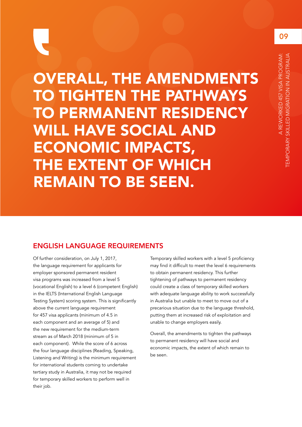OVERALL, THE AMENDMENTS TO TIGHTEN THE PATHWAYS TO PERMANENT RESIDENCY WILL HAVE SOCIAL AND ECONOMIC IMPACTS, THE EXTENT OF WHICH REMAIN TO BE SEEN.

#### ENGLISH LANGUAGE REQUIREMENTS

Of further consideration, on July 1, 2017, the language requirement for applicants for employer sponsored permanent resident visa programs was increased from a level 5 (vocational English) to a level 6 (competent English) in the IELTS (International English Language Testing System) scoring system. This is significantly above the current language requirement for 457 visa applicants (minimum of 4.5 in each component and an average of 5) and the new requirement for the medium-term stream as of March 2018 (minimum of 5 in each component). While the score of 6 across the four language disciplines (Reading, Speaking, Listening and Writing) is the minimum requirement for international students coming to undertake tertiary study in Australia, it may not be required for temporary skilled workers to perform well in their job.

Temporary skilled workers with a level 5 proficiency may find it difficult to meet the level 6 requirements to obtain permanent residency. This further tightening of pathways to permanent residency could create a class of temporary skilled workers with adequate language ability to work successfully in Australia but unable to meet to move out of a precarious situation due to the language threshold, putting them at increased risk of exploitation and unable to change employers easily.

Overall, the amendments to tighten the pathways to permanent residency will have social and economic impacts, the extent of which remain to be seen.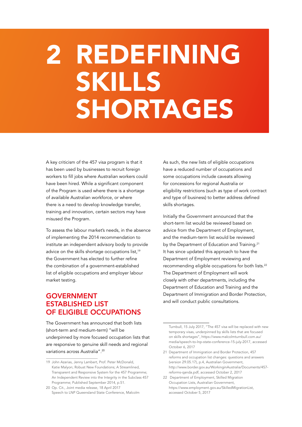### <span id="page-13-0"></span>REDEFINING SKILLS SHORTAGES 2

A key criticism of the 457 visa program is that it has been used by businesses to recruit foreign workers to fill jobs where Australian workers could have been hired. While a significant component of the Program is used where there is a shortage of available Australian workforce, or where there is a need to develop knowledge transfer, training and innovation, certain sectors may have misused the Program.

To assess the labour market's needs, in the absence of implementing the 2014 recommendation to institute an independent advisory body to provide advice on the skills shortage occupations list,<sup>19</sup> the Government has elected to further refine the combination of a government-established list of eligible occupations and employer labour market testing.

#### GOVERNMENT ESTABLISHED LIST OF ELIGIBLE OCCUPATIONS

The Government has announced that both lists (short-term and medium-term) "will be underpinned by more focused occupation lists that are responsive to genuine skill needs and regional variations across Australia".20

As such, the new lists of eligible occupations have a reduced number of occupations and some occupations include caveats allowing for concessions for regional Australia or eligibility restrictions (such as type of work contract and type of business) to better address defined skills shortages.

Initially the Government announced that the short-term list would be reviewed based on advice from the Department of Employment, and the medium-term list would be reviewed by the Department of Education and Training.<sup>21</sup> It has since updated this approach to have the Department of Employment reviewing and recommending eligible occupations for both lists.<sup>22</sup> The Department of Employment will work closely with other departments, including the Department of Education and Training and the Department of Immigration and Border Protection, and will conduct public consultations.

<sup>19</sup> John Azarias, Jenny Lambert, Prof. Peter McDonald, Katie Malyon; Robust New Foundations; A Streamlined, Transparent and Responsive System for the 457 Programme; An Independent Review into the Integrity in the Subclass 457 Programme; Published September 2014, p.51.

<sup>20</sup> Op. Cit., Joint media release, 18 April 2017 Speech to LNP Queensland State Conference, Malcolm

Turnbull, 15 July 2017, "The 457 visa will be replaced with new temporary visas, underpinned by skills lists that are focused on skills shortages", https://www.malcolmturnbull.com.au/ media/speech-to-lnp-state-conference-15-july-2017, accessed October 6, 2017

<sup>21</sup> Department of Immigration and Border Protection, 457 reforms and occupation list changes: questions and answers (version 29.05.17), p.4, Australian Government, http://www.border.gov.au/WorkinginAustralia/Documents/457 reforms-qanda.pdf, accessed October 2, 2017

<sup>22</sup> Department of Employment, Skilled Migration Occupation Lists, Australian Government, https://www.employment.gov.au/SkilledMigrationList, accessed October 5, 2017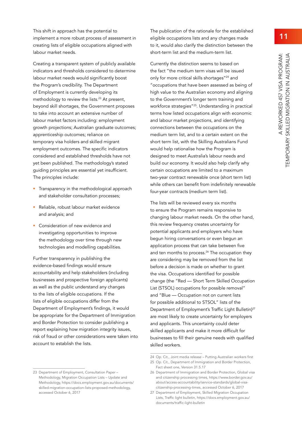This shift in approach has the potential to implement a more robust process of assessment in creating lists of eligible occupations aligned with labour market needs.

Creating a transparent system of publicly available indicators and thresholds considered to determine labour market needs would significantly boost the Program's credibility. The Department of Employment is currently developing its methodology to review the lists.<sup>23</sup> At present, beyond skill shortages, the Government proposes to take into account an extensive number of labour market factors including: employment growth projections; Australian graduate outcomes; apprenticeship outcomes; reliance on temporary visa holders and skilled migrant employment outcomes. The specific indicators considered and established thresholds have not yet been published. The methodology's stated guiding principles are essential yet insufficient. The principles include:

- **Transparency in the methodological approach** and stakeholder consultation processes;
- **Reliable, robust labour market evidence** and analysis; and
- **Consideration of new evidence and** investigating opportunities to improve the methodology over time through new technologies and modelling capabilities.

Further transparency in publishing the evidence-based findings would ensure accountability and help stakeholders (including businesses and prospective foreign applicants) as well as the public understand any changes to the lists of eligible occupations. If the lists of eligible occupations differ from the Department of Employment's findings, it would be appropriate for the Department of Immigration and Border Protection to consider publishing a report explaining how migration integrity issues, risk of fraud or other considerations were taken into account to establish the lists.

23 Department of Employment, Consultation Paper – Methodology, Migration Occupation Lists – Update and Methodology, https://docs.employment.gov.au/documents/ skilled-migration-occupation-lists-proposed-methodology, accessed October 6, 2017

The publication of the rationale for the established eligible occupations lists and any changes made to it, would also clarify the distinction between the short-term list and the medium-term list.

Currently the distinction seems to based on the fact "the medium term visas will be issued only for more critical skills shortages"24 and "occupations that have been assessed as being of high value to the Australian economy and aligning to the Government's longer term training and workforce strategies"25. Understanding in practical terms how listed occupations align with economic and labour market projections, and identifying connections between the occupations on the medium term list, and to a certain extent on the short term list, with the Skilling Australians Fund would help rationalise how the Program is designed to meet Australia's labour needs and build our economy. It would also help clarify why certain occupations are limited to a maximum two-year contract renewable once (short term list) while others can benefit from indefinitely renewable four-year contracts (medium term list).

The lists will be reviewed every six months to ensure the Program remains responsive to changing labour market needs. On the other hand, this review frequency creates uncertainty for potential applicants and employers who have begun hiring conversations or even begun an application process that can take between five and ten months to process.<sup>26</sup> The occupation they are considering may be removed from the list before a decision is made on whether to grant the visa. Occupations identified for possible change (the "Red — Short Term Skilled Occupation List (STSOL) occupations for possible removal" and "Blue — Occupation not on current lists for possible additional to STSOL" lists of the Department of Employment's Traffic Light Bulletin)<sup>27</sup> are most likely to create uncertainty for employers and applicants. This uncertainty could deter skilled applicants and make it more difficult for businesses to fill their genuine needs with qualified skilled workers.

<sup>24</sup> Op. Cit., Joint media release – Putting Australian workers first

<sup>25</sup> Op. Cit., Department of Immigration and Border Protection, Fact sheet one, Version 31.5.17

<sup>26</sup> Department of Immigration and Border Protection, Global visa and citizenship processing times, https://www.border.gov.au/ about/access-accountability/service-standards/global-visacitizenship-processing-times, accessed October 6, 2017

<sup>27</sup> Department of Employment, Skilled Migration Occupation Lists, Traffic light bulletin, https://docs.employment.gov.au/ documents/traffic-light-bulletin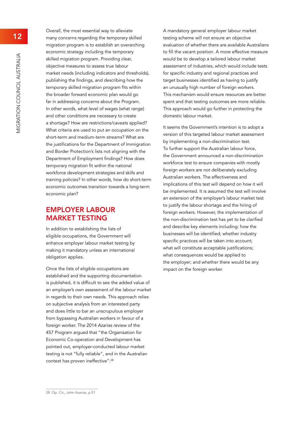Overall, the most essential way to alleviate many concerns regarding the temporary skilled migration program is to establish an overarching economic strategy including the temporary skilled migration program. Providing clear, objective measures to assess true labour market needs (including indicators and thresholds), publishing the findings, and describing how the temporary skilled migration program fits within the broader forward economic plan would go far in addressing concerns about the Program. In other words, what level of wages (what range) and other conditions are necessary to create a shortage? How are restrictions/caveats applied? What criteria are used to put an occupation on the short-term and medium-term streams? What are the justifications for the Department of Immigration and Border Protection's lists not aligning with the Department of Employment findings? How does temporary migration fit within the national workforce development strategies and skills and training policies? In other words, how do short-term economic outcomes transition towards a long-term economic plan?

#### EMPLOYER LABOUR MARKET TESTING

In addition to establishing the lists of eligible occupations, the Government will enhance employer labour market testing by making it mandatory unless an international obligation applies.

Once the lists of eligible occupations are established and the supporting documentation is published, it is difficult to see the added value of an employer's own assessment of the labour market in regards to their own needs. This approach relies on subjective analysis from an interested party and does little to bar an unscrupulous employer from bypassing Australian workers in favour of a foreign worker. The 2014 Azarias review of the 457 Program argued that "the Organisation for Economic Co-operation and Development has pointed out, employer-conducted labour market testing is not "fully reliable", and in the Australian context has proven ineffective".<sup>28</sup>

A mandatory general employer labour market testing scheme will not ensure an objective evaluation of whether there are available Australians to fill the vacant position. A more effective measure would be to develop a tailored labour market assessment of industries, which would include tests for specific industry and regional practices and target businesses identified as having to justify an unusually high number of foreign workers. This mechanism would ensure resources are better spent and that testing outcomes are more reliable. This approach would go further in protecting the domestic labour market.

It seems the Government's intention is to adopt a version of this targeted labour market assessment by implementing a non-discrimination test. To further support the Australian labour force, the Government announced a non-discrimination workforce test to ensure companies with mostly foreign workers are not deliberately excluding Australian workers. The effectiveness and implications of this test will depend on how it will be implemented. It is assumed the test will involve an extension of the employer's labour market test to justify the labour shortage and the hiring of foreign workers. However, the implementation of the non-discrimination test has yet to be clarified and describe key elements including: how the businesses will be identified; whether industry specific practices will be taken into account; what will constitute acceptable justifications: what consequences would be applied to the employer; and whether there would be any impact on the foreign worker.

**MIGRATION COUNCIL AUSTRALIA** MIGRATION COUNCIL AUSTRALIA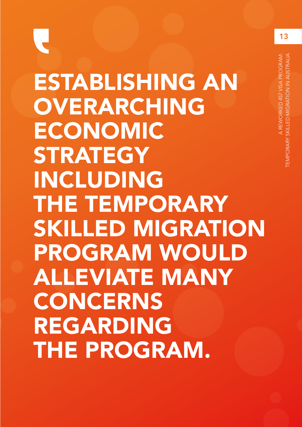ESTABLISHING AN OVERARCHING ECONOMIC **STRATEGY** INCLUDING THE TEMPORARY SKILLED MIGRATION PROGRAM WOULD ALLEVIATE MANY CONCERNS REGARDING THE PROGRAM.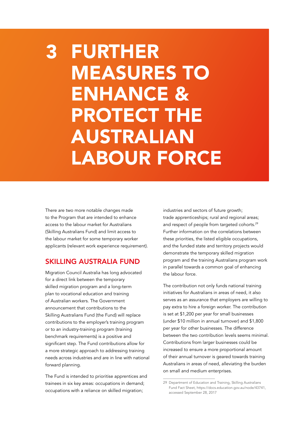### <span id="page-17-0"></span>FURTHER MEASURES TO ENHANCE & PROTECT THE AUSTRALIAN LABOUR FORCE 3

There are two more notable changes made to the Program that are intended to enhance access to the labour market for Australians (Skilling Australians Fund) and limit access to the labour market for some temporary worker applicants (relevant work experience requirement).

#### SKILLING AUSTRALIA FUND

Migration Council Australia has long advocated for a direct link between the temporary skilled migration program and a long-term plan to vocational education and training of Australian workers. The Government announcement that contributions to the Skilling Australians Fund (the Fund) will replace contributions to the employer's training program or to an industry-training program (training benchmark requirements) is a positive and significant step. The Fund contributions allow for a more strategic approach to addressing training needs across industries and are in line with national forward planning.

The Fund is intended to prioritise apprentices and trainees in six key areas: occupations in demand; occupations with a reliance on skilled migration;

industries and sectors of future growth; trade apprenticeships; rural and regional areas; and respect of people from targeted cohorts.<sup>29</sup> Further information on the correlations between these priorities, the listed eligible occupations, and the funded state and territory projects would demonstrate the temporary skilled migration program and the training Australians program work in parallel towards a common goal of enhancing the labour force.

The contribution not only funds national training initiatives for Australians in areas of need, it also serves as an assurance that employers are willing to pay extra to hire a foreign worker. The contribution is set at \$1,200 per year for small businesses (under \$10 million in annual turnover) and \$1,800 per year for other businesses. The difference between the two contribution levels seems minimal. Contributions from larger businesses could be increased to ensure a more proportional amount of their annual turnover is geared towards training Australians in areas of need, alleviating the burden on small and medium enterprises.

<sup>29</sup> Department of Education and Training, Skilling Australians Fund Fact Sheet, https://docs.education.gov.au/node/43741, accessed September 28, 2017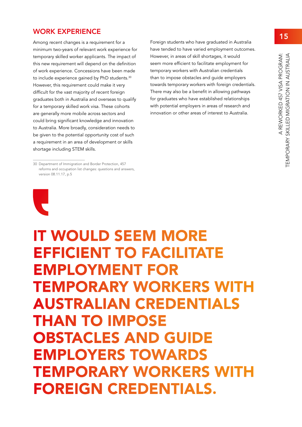#### WORK EXPERIENCE

Among recent changes is a requirement for a minimum two-years of relevant work experience for temporary skilled worker applicants. The impact of this new requirement will depend on the definition of work experience. Concessions have been made to include experience gained by PhD students.<sup>30</sup> However, this requirement could make it very difficult for the vast majority of recent foreign graduates both in Australia and overseas to qualify for a temporary skilled work visa. These cohorts are generally more mobile across sectors and could bring significant knowledge and innovation to Australia. More broadly, consideration needs to be given to the potential opportunity cost of such a requirement in an area of development or skills shortage including STEM skills.

Foreign students who have graduated in Australia have tended to have varied employment outcomes. However, in areas of skill shortages, it would seem more efficient to facilitate employment for temporary workers with Australian credentials than to impose obstacles and guide employers towards temporary workers with foreign credentials. There may also be a benefit in allowing pathways for graduates who have established relationships with potential employers in areas of research and innovation or other areas of interest to Australia.

### IT WOULD SEEM MORE EFFICIENT TO FACILITATE EMPLOYMENT FOR TEMPORARY WORKERS WITH AUSTRALIAN CREDENTIALS THAN TO IMPOSE OBSTACLES AND GUIDE EMPLOYERS TOWARDS TEMPORARY WORKERS WITH FOREIGN CREDENTIALS.

<sup>30</sup> Department of Immigration and Border Protection, 457 reforms and occupation list changes: questions and answers, version 08.11.17, p.5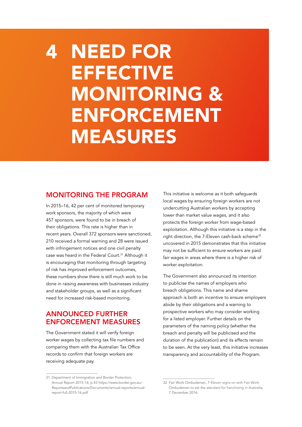### <span id="page-19-0"></span>NEED FOR EFFECTIVE MONITORING & ENFORCEMENT MEASURES 4

#### MONITORING THE PROGRAM

In 2015–16, 42 per cent of monitored temporary work sponsors, the majority of which were 457 sponsors, were found to be in breach of their obligations. This rate is higher than in recent years. Overall 372 sponsors were sanctioned, 210 received a formal warning and 28 were issued with infringement notices and one civil penalty case was heard in the Federal Court.<sup>31</sup> Although it is encouraging that monitoring through targeting of risk has improved enforcement outcomes, these numbers show there is still much work to be done in raising awareness with businesses industry and stakeholder groups, as well as a significant need for increased risk-based monitoring.

#### ANNOUNCED FURTHER ENFORCEMENT MEASURES

The Government stated it will verify foreign worker wages by collecting tax file numbers and comparing them with the Australian Tax Office records to confirm that foreign workers are receiving adequate pay.

This initiative is welcome as it both safeguards local wages by ensuring foreign workers are not undercutting Australian workers by accepting lower than market value wages, and it also protects the foreign worker from wage-based exploitation. Although this initiative is a step in the right direction, the 7-Eleven cash-back scheme<sup>32</sup> uncovered in 2015 demonstrates that this initiative may not be sufficient to ensure workers are paid fair wages in areas where there is a higher risk of worker exploitation.

The Government also announced its intention to publicise the names of employers who breach obligations. This name and shame approach is both an incentive to ensure employers abide by their obligations and a warning to prospective workers who may consider working for a listed employer. Further details on the parameters of the naming policy (whether the breach and penalty will be publicised and the duration of the publication) and its effects remain to be seen. At the very least, this initiative increases transparency and accountability of the Program.

<sup>31</sup> Department of Immigration and Border Protection, Annual Report 2015-16, p.43 https://www.border.gov.au/ ReportsandPublications/Documents/annual-reports/annualreport-full-2015-16.pdf

<sup>32</sup> Fair Work Ombudsman, 7-Eleven signs on with Fair Work Ombudsman to set the standard for franchising in Australia, 7 December 2016.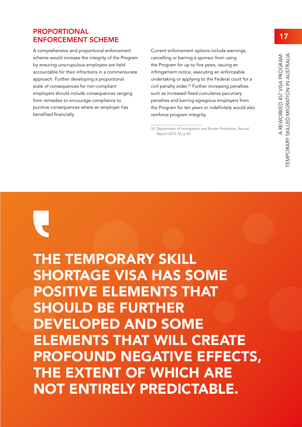#### PROPORTIONAL ENFORCEMENT SCHEME

A comprehensive and proportional enforcement scheme would increase the integrity of the Program by ensuring unscrupulous employers are held accountable for their infractions in a commensurate approach. Further developing a proportional scale of consequences for non-compliant employers should include consequences ranging from remedies to encourage compliance to punitive consequences where an employer has benefited financially.

Current enforcement options include warnings, cancelling or barring a sponsor from using the Program for up to five years, issuing an infringement notice, executing an enforceable undertaking or applying to the Federal court for a civil penalty order.<sup>33</sup> Further increasing penalties such as increased fixed cumulative pecuniary penalties and barring egregious employers from the Program for ten years or indefinitely would also reinforce program integrity.

17

THE TEMPORARY SKILL SHORTAGE VISA HAS SOME POSITIVE ELEMENTS THAT SHOULD BE FURTHER DEVELOPED AND SOME ELEMENTS THAT WILL CREATE PROFOUND NEGATIVE EFFECTS, THE EXTENT OF WHICH ARE NOT ENTIRELY PREDICTABLE.

<sup>33</sup> Department of Immigration and Border Protection, Annual Report 2015-16, p.43.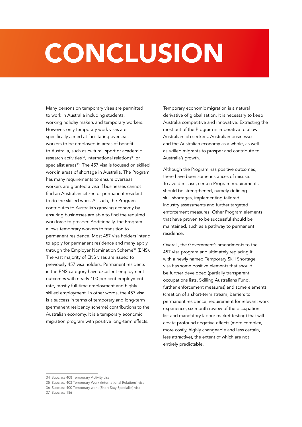## <span id="page-21-0"></span>**CONCLUSION**

Many persons on temporary visas are permitted to work in Australia including students, working holiday makers and temporary workers. However, only temporary work visas are specifically aimed at facilitating overseas workers to be employed in areas of benefit to Australia, such as cultural, sport or academic research activities<sup>34</sup>, international relations<sup>35</sup> or specialist areas<sup>36</sup>. The 457 visa is focused on skilled work in areas of shortage in Australia. The Program has many requirements to ensure overseas workers are granted a visa if businesses cannot find an Australian citizen or permanent resident to do the skilled work. As such, the Program contributes to Australia's growing economy by ensuring businesses are able to find the required workforce to prosper. Additionally, the Program allows temporary workers to transition to permanent residence. Most 457 visa holders intend to apply for permanent residence and many apply through the Employer Nomination Scheme<sup>37</sup> (ENS). The vast majority of ENS visas are issued to previously 457 visa holders. Permanent residents in the ENS category have excellent employment outcomes with nearly 100 per cent employment rate, mostly full-time employment and highly skilled employment. In other words, the 457 visa is a success in terms of temporary and long-term (permanent residency scheme) contributions to the Australian economy. It is a temporary economic migration program with positive long-term effects.

Temporary economic migration is a natural derivative of globalisation. It is necessary to keep Australia competitive and innovative. Extracting the most out of the Program is imperative to allow Australian job seekers, Australian businesses and the Australian economy as a whole, as well as skilled migrants to prosper and contribute to Australia's growth.

Although the Program has positive outcomes, there have been some instances of misuse. To avoid misuse, certain Program requirements should be strengthened, namely defining skill shortages, implementing tailored industry assessments and further targeted enforcement measures. Other Program elements that have proven to be successful should be maintained, such as a pathway to permanent residence.

Overall, the Government's amendments to the 457 visa program and ultimately replacing it with a newly named Temporary Skill Shortage visa has some positive elements that should be further developed (partially transparent occupations lists, Skilling Australians Fund, further enforcement measures) and some elements (creation of a short-term stream, barriers to permanent residence, requirement for relevant work experience, six month review of the occupation list and mandatory labour market testing) that will create profound negative effects (more complex, more costly, highly changeable and less certain, less attractive), the extent of which are not entirely predictable.

35 Subclass 403 Temporary Work (International Relations) visa

<sup>34</sup> Subclass 408 Temporary Activity visa

<sup>36</sup> Subclass 400 Temporary work (Short Stay Specialist) visa

<sup>37</sup> Subclass 186